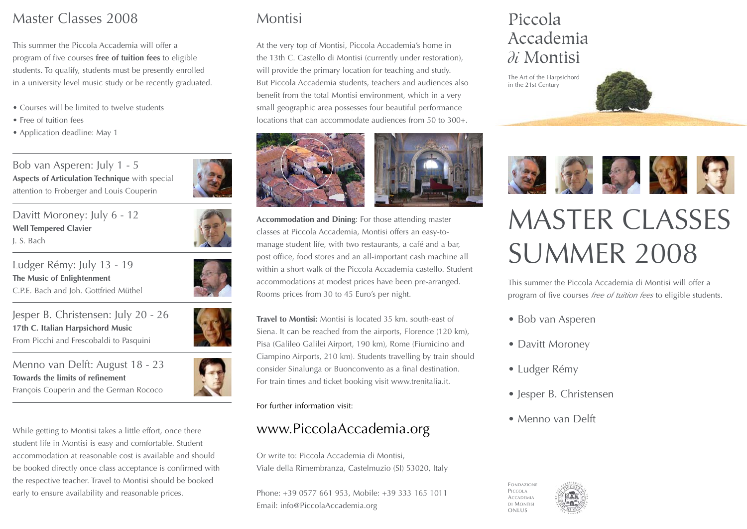### Master Classes 2008

This summer the Piccola Accademia will offer a program of five courses **free of tuition fees** to eligible students. To qualify, students must be presently enrolled in a university level music study or be recently graduated.

- Courses will be limited to twelve students
- Free of tuition fees
- Application deadline: May 1

Bob van Asperen: July 1 - 5 **Aspects of Articulation Technique** with special attention to Froberger and Louis Couperin

Davitt Moroney: July 6 - 12 **Well Tempered Clavier** J. S. Bach

Ludger Rémy: July 13 - 19 **The Music of Enlightenment** C.P.E. Bach and Joh. Gottfried Müthel

Jesper B. Christensen: July 20 - 26 **17th C. Italian Harpsichord Music** From Picchi and Frescobaldi to Pasquini

Menno van Delft: August 18 - 23 **Towards the limits of refinement**

François Couperin and the German Rococo

While getting to Montisi takes a little effort, once there student life in Montisi is easy and comfortable. Student accommodation at reasonable cost is available and should be booked directly once class acceptance is confirmed with the respective teacher. Travel to Montisi should be booked early to ensure availability and reasonable prices.

# Montisi

At the very top of Montisi, Piccola Accademia's home in the 13th C. Castello di Montisi (currently under restoration), will provide the primary location for teaching and study. But Piccola Accademia students, teachers and audiences also benefit from the total Montisi environment, which in a very small geographic area possesses four beautiful performance locations that can accommodate audiences from 50 to 300+.





**Accommodation and Dining**: For those attending master classes at Piccola Accademia, Montisi offers an easy-tomanage student life, with two restaurants, a café and a bar, post office, food stores and an all-important cash machine all within a short walk of the Piccola Accademia castello. Student accommodations at modest prices have been pre-arranged. Rooms prices from 30 to 45 Euro's per night.

**Travel to Montisi:** Montisi is located 35 km. south-east of Siena. It can be reached from the airports, Florence (120 km), Pisa (Galileo Galilei Airport, 190 km), Rome (Fiumicino and Ciampino Airports, 210 km). Students travelling by train should consider Sinalunga or Buonconvento as a final destination. For train times and ticket booking visit www.trenitalia.it.

For further information visit:

# www.PiccolaAccademia.org

Or write to: Piccola Accademia di Montisi, Viale della Rimembranza, Castelmuzio (SI) 53020, Italy

Phone: +39 0577 661 953, Mobile: +39 333 165 1011 Email: info@PiccolaAccademia.org

# Piccola Accademia *di* Montisi

The Art of the Harpsichord in the 21st Century



# MASTER CLASSES SUMMER 2008

This summer the Piccola Accademia di Montisi will offer a program of five courses *free of tuition fees* to eligible students.

- Bob van Asperen
- Davitt Moroney
- Ludger Rémy
- Jesper B. Christensen
- Menno van Delft